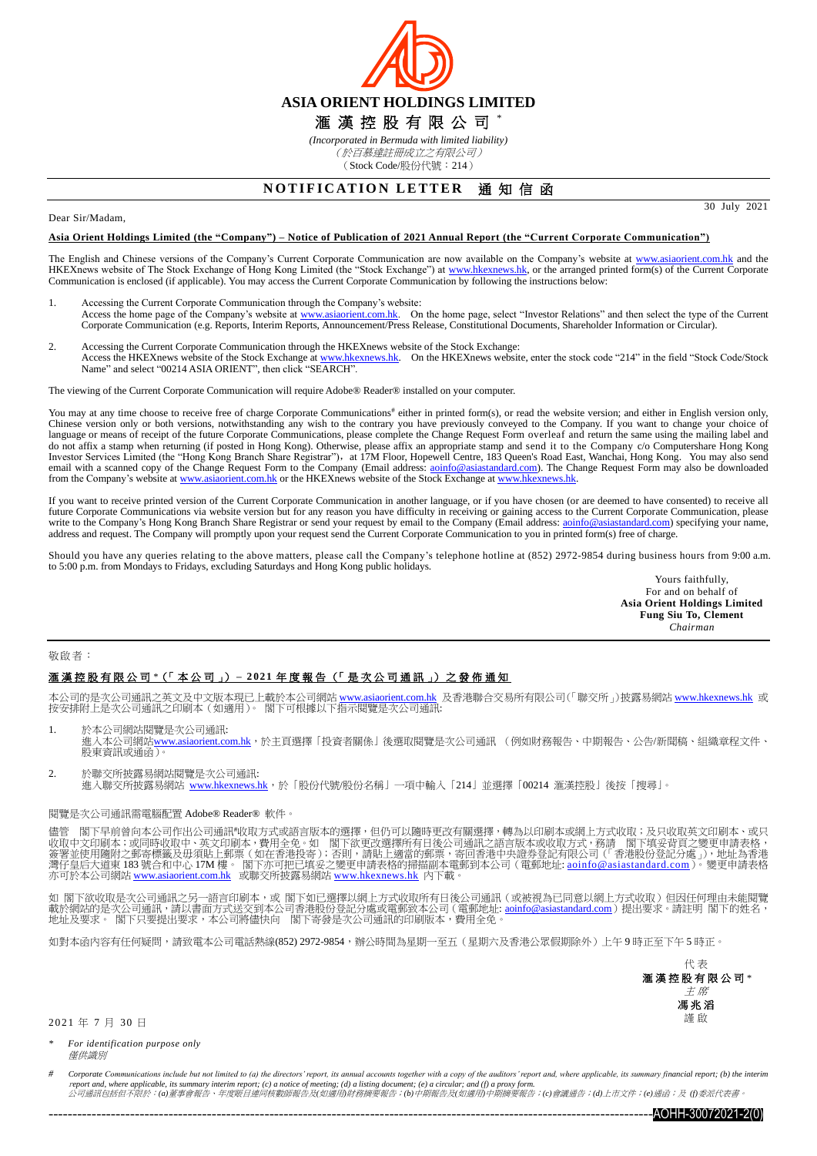

*(Incorporated in Bermuda with limited liability)* (於百慕達註冊成立之有限公司) (Stock Code/股份代號:214)

# **NOTIFICATION LETTER 通知信函**

#### Dear Sir/Madam,

#### **Asia Orient Holdings Limited (the "Company") – Notice of Publication of 2021 Annual Report (the "Current Corporate Communication")**

The English and Chinese versions of the Company's Current Corporate Communication are now available on the Company's website at [www.asiaorient.com.hk](http://www.asiaorient.com.hk/) and the HKEXnews website of The Stock Exchange of Hong Kong Limited (the "Stock Exchange") at [www.hkexnews.hk,](http://www.hkexnews.hk/) or the arranged printed form(s) of the Current Corporate Communication is enclosed (if applicable). You may access the Current Corporate Communication by following the instructions below:

- 1. Accessing the Current Corporate Communication through the Company's website: Access the home page of the Company's website at [www.asiaorient.com.hk.](http://www.asiaorient.com.hk/) On the home page, select "Investor Relations" and then select the type of the Current Corporate Communication (e.g. Reports, Interim Reports, Announcement/Press Release, Constitutional Documents, Shareholder Information or Circular).
- 2. Accessing the Current Corporate Communication through the HKEXnews website of the Stock Exchange:<br>Access the HKEXnews website of the Stock Exchange a[t www.hkexnews.hk.](http://www.hkexnews.hk/) On the HKEXnews website, enter the stock code "214" Name" and select "00214 ASIA ORIENT", then click "SEARCH".

The viewing of the Current Corporate Communication will require Adobe® Reader® installed on your computer.

You may at any time choose to receive free of charge Corporate Communications<sup>#</sup> either in printed form(s), or read the website version; and either in English version only, Chinese version only or both versions, notwithsta language or means of receipt of the future Corporate Communications, please complete the Change Request Form overleaf and return the same using the mailing label and do not affix a stamp when returning (if posted in Hong Kong). Otherwise, please affix an appropriate stamp and send it to the Company c/o Computershare Hong Kong<br>Investor Services Limited (the "Hong Kong Branch Share Regis email with a scanned copy of the Change Request Form to the Company (Email address: aoinfo@asiastandard.com). The Change Request Form may also be downloaded from the Company's website a[t www.asiaorient.com.hk](http://www.asiaorient.com.hk/) or the HKEXnews website of the Stock Exchange at [www.hkexnews.hk.](http://www.hkexnews.hk/)

If you want to receive printed version of the Current Corporate Communication in another language, or if you have chosen (or are deemed to have consented) to receive all future Corporate Communications via website version but for any reason you have difficulty in receiving or gaining access to the Current Corporate Communication, please write to the Company's Hong Kong Branch Share Registr write to the Company's Hong Kong Branch Share Registrar or send your request by email to the Company (Email address: aoinfo@asiastanda address and request. The Company will promptly upon your request send the Current Corporate Communication to you in printed form(s) free of charge.

Should you have any queries relating to the above matters, please call the Company's telephone hotline at (852) 2972-9854 during business hours from 9:00 a.m. to 5:00 p.m. from Mondays to Fridays, excluding Saturdays and Hong Kong public holidays.

> Yours faithfully, For and on behalf of **Asia Orient Holdings Limited Fung Siu To, Clement** *Chairman*

30 July 2021

#### 敬啟者:

## 滙 漢 控 股 有 限 公 司 *\**(「 本 公 司 」) **– 2 02 1** 年度報告 (「 是 次 公 司 通 訊 」) 之 發 佈 通 知

本公司的是次公司通訊之英文及中文版本現已上載於本公司網站 www.asi<u>aorient.com.hk</u> 及香港聯合交易所有限公司(「聯交所」)披露易網站 <u>[www.hkexnews.hk](http://www.hkexnews.hk/index_c.htm)</u> 或<br>按安排附上是次公司通訊之印刷本(如適用)。 閣下可根據以下指示閱覽是次公司通訊:

- 1. 於本公司網站閱覽是次公司通訊:<br>進入本公司網站<u>[www.asiaorient.com.hk](http://www.asiaorient.com.hk/)</u>,於主頁選擇「投資者關係」後選取閱覽是次公司通訊 (例如財務報告、中期報告、公告/新聞稿、組織章程文件、 **經六十五 調和<u>出</u>**
- 2. 於聯交所披露易網站閱覽是次公司通訊: 進入聯交所披露易網站 [www.hkexnews.hk](http://www.hkexnews.hk/index_c.htm),於「股份代號/股份名稱」一項中輸入「214」並選擇「00214 滙漢控股」後按「搜尋」。

### 閱覽是次公司通訊需電腦配置 Adobe® Reader® 軟件。

閣下早前曾向本公司作出公司通訊#收取方式或語言版本的選擇,但仍可以隨時更改有關選擇,轉為以印刷本或網上方式收取;及只收取英文印刷本、或只 收取中文印刷本;或同時收取中、英文印刷本,費用全免。如 閣下欲更改選擇所有日後公司通訊之語言版本或收取方式,務請 閣下填妥背頁之變更申請表格, 簽署並使用隨附之郵寄標籤及毋須貼上郵票(如在香港投寄);否則,請貼上適當的郵票,寄回香港中央證券登記有限公司(「香港股份登記分處」),地址為香港<br>灣仔皇后大道東 183 號合和中心 17M 樓。 閣下亦可把已填妥之變更申請表格的掃描副本電郵到本公司(電郵地址: <u>[aoinfo@asiastandard.com](http://aoinfo@asiastandard.com)</u>)。變更申請表格 亦可於本公司網站 <u>[www.asiaorient.com.hk](http://www.asiaorient.com.hk/)</u> 或聯交所披露易網站 <u>[www.hkexnews.hk](http://www.hkexnews.hk/index_c.htm)</u> 內下載。

如 閣下欲收取是次公司通訊之另一語言印刷本,或 閣下如已選擇以網上方式收取所有日後公司通訊(或被視為已同意以網上方式收取)但因任何理由未能閱覽 載於網站的是次公司通訊,請以書面方式送交到本公司香港股份登記分處或電郵致本公司(電郵地址: <u>[aoinfo@asiastandard.com](mailto:ao_info@asia-standard.com.hk)</u>)提出要求。請註明 閣下的姓名, 地址及要求。 閣下只要提出要求,本公司將儘快向 閣下寄發是次公司通訊的印刷版本,費用全免。

如對本函內容有任何疑問,請致電本公司電話熱線(852) 2972-9854,辦公時間為星期一至五(星期六及香港公眾假期除外)上午 9 時正至下午 5 時正。



2 0 21 年 7 月 30 日

*\* For identification purpose only* 僅供識別

Corporate Communications include but not limited to (a) the directors' report, its annual accounts together with a copy of the auditors' report and, where applicable, its summary financial report; (b) the interim <sup>r</sup>*eport and, where applicable, its summary interim report; (c) a notice of meeting; (d) a listing document; (e) a circular; and (f) a proxy form.* 公司通訊包括但不限於:*(a)*董事會報告、年度賬目連同核數師報告及*(*如適用*)*財務摘要報告;*(b)*中期報告及*(*如適用*)*中期摘要報告;*(c)*會議通告;*(d)*上市文件;*(e)*通函;及 *(f)*委派代表書。

------------------------------------------------------------------------------------------------------------------------------AOHH-30072021-2(0)